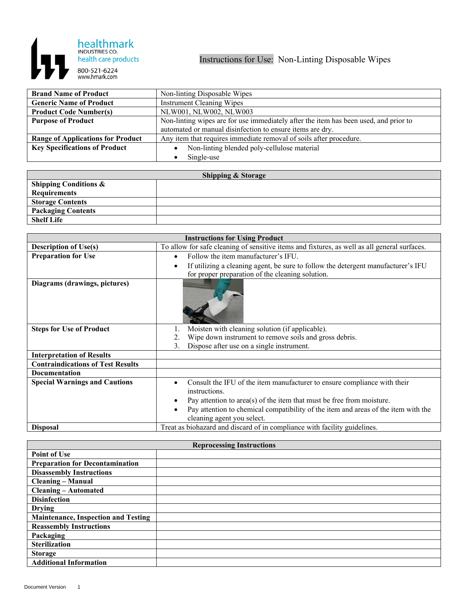

| <b>Brand Name of Product</b>             | Non-linting Disposable Wipes                                                         |
|------------------------------------------|--------------------------------------------------------------------------------------|
| <b>Generic Name of Product</b>           | <b>Instrument Cleaning Wipes</b>                                                     |
| <b>Product Code Number(s)</b>            | NLW001, NLW002, NLW003                                                               |
| <b>Purpose of Product</b>                | Non-linting wipes are for use immediately after the item has been used, and prior to |
|                                          | automated or manual disinfection to ensure items are dry.                            |
| <b>Range of Applications for Product</b> | Any item that requires immediate removal of soils after procedure.                   |
| <b>Key Specifications of Product</b>     | Non-linting blended poly-cellulose material                                          |
|                                          | Single-use                                                                           |

| <b>Shipping &amp; Storage</b>    |  |  |
|----------------------------------|--|--|
| <b>Shipping Conditions &amp;</b> |  |  |
| Requirements                     |  |  |
| <b>Storage Contents</b>          |  |  |
| <b>Packaging Contents</b>        |  |  |
| <b>Shelf Life</b>                |  |  |

| <b>Instructions for Using Product</b>    |                                                                                                                  |
|------------------------------------------|------------------------------------------------------------------------------------------------------------------|
| <b>Description of Use(s)</b>             | To allow for safe cleaning of sensitive items and fixtures, as well as all general surfaces.                     |
| <b>Preparation for Use</b>               | Follow the item manufacturer's IFU.<br>$\bullet$                                                                 |
|                                          | If utilizing a cleaning agent, be sure to follow the detergent manufacturer's IFU                                |
|                                          | for proper preparation of the cleaning solution.                                                                 |
| Diagrams (drawings, pictures)            |                                                                                                                  |
| <b>Steps for Use of Product</b>          | Moisten with cleaning solution (if applicable).                                                                  |
|                                          | Wipe down instrument to remove soils and gross debris.                                                           |
|                                          | Dispose after use on a single instrument.<br>3.                                                                  |
| <b>Interpretation of Results</b>         |                                                                                                                  |
| <b>Contraindications of Test Results</b> |                                                                                                                  |
| <b>Documentation</b>                     |                                                                                                                  |
| <b>Special Warnings and Cautions</b>     | Consult the IFU of the item manufacturer to ensure compliance with their<br>instructions.                        |
|                                          | Pay attention to $area(s)$ of the item that must be free from moisture.                                          |
|                                          | Pay attention to chemical compatibility of the item and areas of the item with the<br>cleaning agent you select. |
| <b>Disposal</b>                          | Treat as biohazard and discard of in compliance with facility guidelines.                                        |

| <b>Reprocessing Instructions</b>           |  |  |
|--------------------------------------------|--|--|
| <b>Point of Use</b>                        |  |  |
| <b>Preparation for Decontamination</b>     |  |  |
| <b>Disassembly Instructions</b>            |  |  |
| <b>Cleaning – Manual</b>                   |  |  |
| <b>Cleaning – Automated</b>                |  |  |
| <b>Disinfection</b>                        |  |  |
| <b>Drying</b>                              |  |  |
| <b>Maintenance, Inspection and Testing</b> |  |  |
| <b>Reassembly Instructions</b>             |  |  |
| Packaging                                  |  |  |
| <b>Sterilization</b>                       |  |  |
| <b>Storage</b>                             |  |  |
| <b>Additional Information</b>              |  |  |